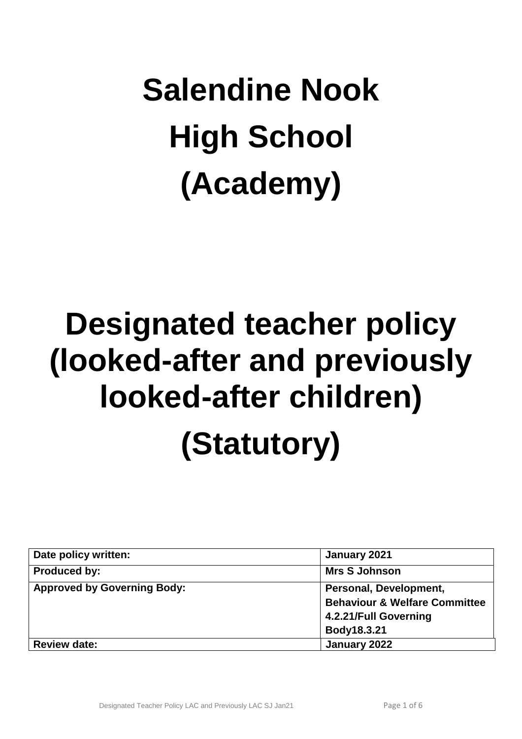# **Salendine Nook High School (Academy)**

## **Designated teacher policy (looked-after and previously looked-after children) (Statutory)**

| Date policy written:               | January 2021                             |
|------------------------------------|------------------------------------------|
| <b>Produced by:</b>                | <b>Mrs S Johnson</b>                     |
| <b>Approved by Governing Body:</b> | Personal, Development,                   |
|                                    | <b>Behaviour &amp; Welfare Committee</b> |
|                                    | 4.2.21/Full Governing                    |
|                                    | Body18.3.21                              |
| <b>Review date:</b>                | January 2022                             |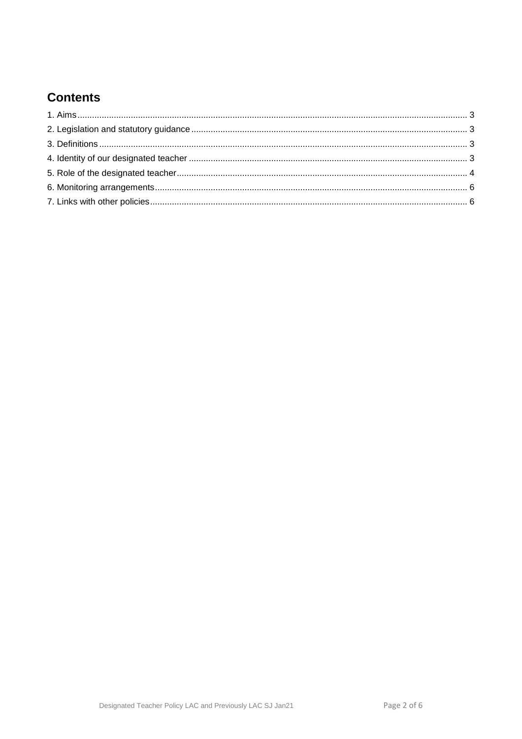## **Contents**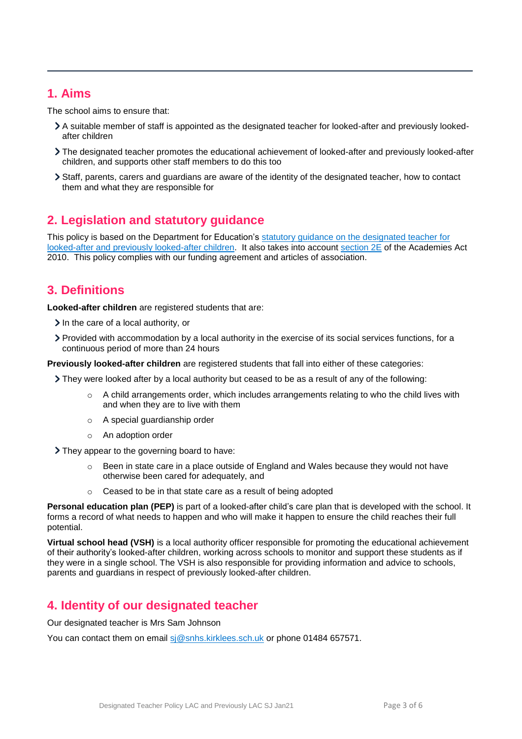#### <span id="page-2-0"></span>**1. Aims**

The school aims to ensure that:

- A suitable member of staff is appointed as the designated teacher for looked-after and previously lookedafter children
- The designated teacher promotes the educational achievement of looked-after and previously looked-after children, and supports other staff members to do this too
- Staff, parents, carers and guardians are aware of the identity of the designated teacher, how to contact them and what they are responsible for

## <span id="page-2-1"></span>**2. Legislation and statutory guidance**

This policy is based on the Department for Education's statutory guidance on the designated teacher for [looked-after and previously looked-after children.](https://www.gov.uk/government/publications/designated-teacher-for-looked-after-children) It also takes into account [section 2E](http://www.legislation.gov.uk/ukpga/2010/32/section/2E) of the Academies Act 2010. This policy complies with our funding agreement and articles of association.

## <span id="page-2-2"></span>**3. Definitions**

**Looked-after children** are registered students that are:

- $\geq$  In the care of a local authority, or
- Provided with accommodation by a local authority in the exercise of its social services functions, for a continuous period of more than 24 hours

**Previously looked-after children** are registered students that fall into either of these categories:

- They were looked after by a local authority but ceased to be as a result of any of the following:
	- o A child arrangements order, which includes arrangements relating to who the child lives with and when they are to live with them
	- o A special guardianship order
	- o An adoption order

They appear to the governing board to have:

- $\circ$  Been in state care in a place outside of England and Wales because they would not have otherwise been cared for adequately, and
- Ceased to be in that state care as a result of being adopted

**Personal education plan (PEP)** is part of a looked-after child's care plan that is developed with the school. It forms a record of what needs to happen and who will make it happen to ensure the child reaches their full potential.

**Virtual school head (VSH)** is a local authority officer responsible for promoting the educational achievement of their authority's looked-after children, working across schools to monitor and support these students as if they were in a single school. The VSH is also responsible for providing information and advice to schools, parents and guardians in respect of previously looked-after children.

### <span id="page-2-3"></span>**4. Identity of our designated teacher**

Our designated teacher is Mrs Sam Johnson

You can contact them on email [sj@snhs.kirklees.sch.uk](mailto:sj@snhs.kirklees.sch.uk) or phone 01484 657571.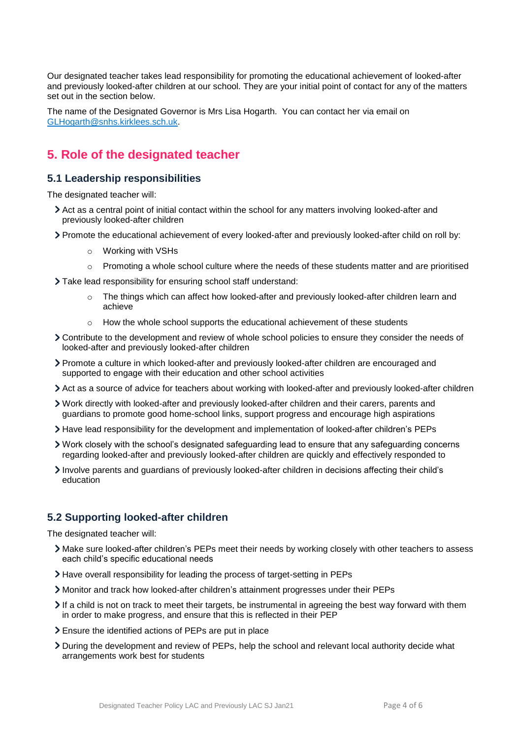Our designated teacher takes lead responsibility for promoting the educational achievement of looked-after and previously looked-after children at our school. They are your initial point of contact for any of the matters set out in the section below.

The name of the Designated Governor is Mrs Lisa Hogarth. You can contact her via email on [GLHogarth@snhs.kirklees.sch.uk.](mailto:GLHogarth@snhs.kirklees.sch.uk)

#### <span id="page-3-0"></span>**5. Role of the designated teacher**

#### **5.1 Leadership responsibilities**

The designated teacher will:

- Act as a central point of initial contact within the school for any matters involving looked-after and previously looked-after children
- Promote the educational achievement of every looked-after and previously looked-after child on roll by:
	- o Working with VSHs
	- $\circ$  Promoting a whole school culture where the needs of these students matter and are prioritised
- Take lead responsibility for ensuring school staff understand:
	- $\circ$  The things which can affect how looked-after and previously looked-after children learn and achieve
	- $\circ$  How the whole school supports the educational achievement of these students
- Contribute to the development and review of whole school policies to ensure they consider the needs of looked-after and previously looked-after children
- Promote a culture in which looked-after and previously looked-after children are encouraged and supported to engage with their education and other school activities
- Act as a source of advice for teachers about working with looked-after and previously looked-after children
- Work directly with looked-after and previously looked-after children and their carers, parents and guardians to promote good home-school links, support progress and encourage high aspirations
- Have lead responsibility for the development and implementation of looked-after children's PEPs
- Work closely with the school's designated safeguarding lead to ensure that any safeguarding concerns regarding looked-after and previously looked-after children are quickly and effectively responded to
- Involve parents and guardians of previously looked-after children in decisions affecting their child's education

#### **5.2 Supporting looked-after children**

The designated teacher will:

- Make sure looked-after children's PEPs meet their needs by working closely with other teachers to assess each child's specific educational needs
- Have overall responsibility for leading the process of target-setting in PEPs
- Monitor and track how looked-after children's attainment progresses under their PEPs
- If a child is not on track to meet their targets, be instrumental in agreeing the best way forward with them in order to make progress, and ensure that this is reflected in their PEP
- Ensure the identified actions of PEPs are put in place
- During the development and review of PEPs, help the school and relevant local authority decide what arrangements work best for students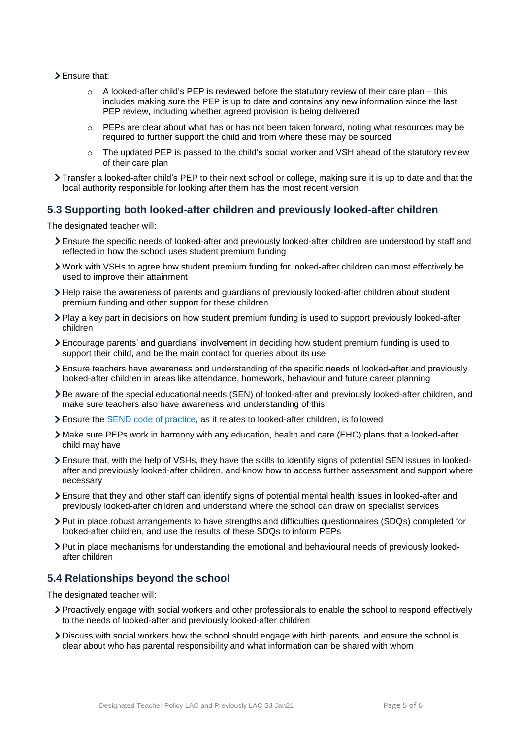- > Ensure that:
	- $\circ$  A looked-after child's PEP is reviewed before the statutory review of their care plan this includes making sure the PEP is up to date and contains any new information since the last PEP review, including whether agreed provision is being delivered
	- $\circ$  PEPs are clear about what has or has not been taken forward, noting what resources may be required to further support the child and from where these may be sourced
	- $\circ$  The updated PEP is passed to the child's social worker and VSH ahead of the statutory review of their care plan
- Transfer a looked-after child's PEP to their next school or college, making sure it is up to date and that the local authority responsible for looking after them has the most recent version

#### **5.3 Supporting both looked-after children and previously looked-after children**

The designated teacher will:

- Ensure the specific needs of looked-after and previously looked-after children are understood by staff and reflected in how the school uses student premium funding
- Work with VSHs to agree how student premium funding for looked-after children can most effectively be used to improve their attainment
- Help raise the awareness of parents and guardians of previously looked-after children about student premium funding and other support for these children
- Play a key part in decisions on how student premium funding is used to support previously looked-after children
- Encourage parents' and guardians' involvement in deciding how student premium funding is used to support their child, and be the main contact for queries about its use
- Ensure teachers have awareness and understanding of the specific needs of looked-after and previously looked-after children in areas like attendance, homework, behaviour and future career planning
- Be aware of the special educational needs (SEN) of looked-after and previously looked-after children, and make sure teachers also have awareness and understanding of this
- Ensure the [SEND code of practice,](https://www.gov.uk/government/publications/send-code-of-practice-0-to-25) as it relates to looked-after children, is followed
- Make sure PEPs work in harmony with any education, health and care (EHC) plans that a looked-after child may have
- Ensure that, with the help of VSHs, they have the skills to identify signs of potential SEN issues in lookedafter and previously looked-after children, and know how to access further assessment and support where necessary
- Ensure that they and other staff can identify signs of potential mental health issues in looked-after and previously looked-after children and understand where the school can draw on specialist services
- Put in place robust arrangements to have strengths and difficulties questionnaires (SDQs) completed for looked-after children, and use the results of these SDQs to inform PEPs
- Put in place mechanisms for understanding the emotional and behavioural needs of previously lookedafter children

#### **5.4 Relationships beyond the school**

The designated teacher will:

- Proactively engage with social workers and other professionals to enable the school to respond effectively to the needs of looked-after and previously looked-after children
- Discuss with social workers how the school should engage with birth parents, and ensure the school is clear about who has parental responsibility and what information can be shared with whom